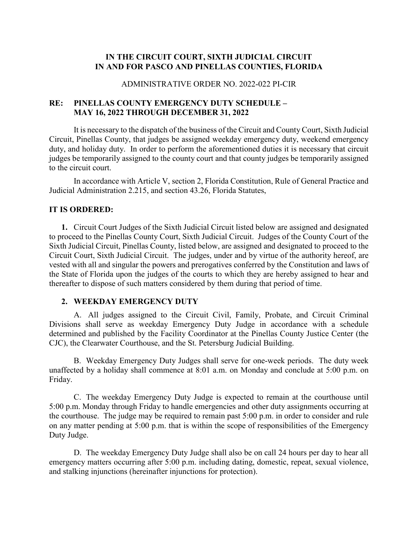# **IN THE CIRCUIT COURT, SIXTH JUDICIAL CIRCUIT IN AND FOR PASCO AND PINELLAS COUNTIES, FLORIDA**

#### ADMINISTRATIVE ORDER NO. 2022-022 PI-CIR

# **RE: PINELLAS COUNTY EMERGENCY DUTY SCHEDULE – MAY 16, 2022 THROUGH DECEMBER 31, 2022**

It is necessary to the dispatch of the business of the Circuit and County Court, Sixth Judicial Circuit, Pinellas County, that judges be assigned weekday emergency duty, weekend emergency duty, and holiday duty. In order to perform the aforementioned duties it is necessary that circuit judges be temporarily assigned to the county court and that county judges be temporarily assigned to the circuit court.

In accordance with Article V, section 2, Florida Constitution, Rule of General Practice and Judicial Administration 2.215, and section 43.26, Florida Statutes,

#### **IT IS ORDERED:**

**1.** Circuit Court Judges of the Sixth Judicial Circuit listed below are assigned and designated to proceed to the Pinellas County Court, Sixth Judicial Circuit. Judges of the County Court of the Sixth Judicial Circuit, Pinellas County, listed below, are assigned and designated to proceed to the Circuit Court, Sixth Judicial Circuit. The judges, under and by virtue of the authority hereof, are vested with all and singular the powers and prerogatives conferred by the Constitution and laws of the State of Florida upon the judges of the courts to which they are hereby assigned to hear and thereafter to dispose of such matters considered by them during that period of time.

### **2. WEEKDAY EMERGENCY DUTY**

A. All judges assigned to the Circuit Civil, Family, Probate, and Circuit Criminal Divisions shall serve as weekday Emergency Duty Judge in accordance with a schedule determined and published by the Facility Coordinator at the Pinellas County Justice Center (the CJC), the Clearwater Courthouse, and the St. Petersburg Judicial Building.

B. Weekday Emergency Duty Judges shall serve for one-week periods. The duty week unaffected by a holiday shall commence at 8:01 a.m. on Monday and conclude at 5:00 p.m. on Friday.

C. The weekday Emergency Duty Judge is expected to remain at the courthouse until 5:00 p.m. Monday through Friday to handle emergencies and other duty assignments occurring at the courthouse. The judge may be required to remain past 5:00 p.m. in order to consider and rule on any matter pending at 5:00 p.m. that is within the scope of responsibilities of the Emergency Duty Judge.

D. The weekday Emergency Duty Judge shall also be on call 24 hours per day to hear all emergency matters occurring after 5:00 p.m. including dating, domestic, repeat, sexual violence, and stalking injunctions (hereinafter injunctions for protection).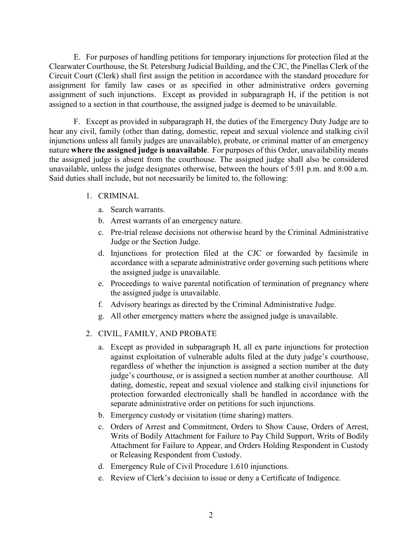E. For purposes of handling petitions for temporary injunctions for protection filed at the Clearwater Courthouse, the St. Petersburg Judicial Building, and the CJC, the Pinellas Clerk of the Circuit Court (Clerk) shall first assign the petition in accordance with the standard procedure for assignment for family law cases or as specified in other administrative orders governing assignment of such injunctions. Except as provided in subparagraph H, if the petition is not assigned to a section in that courthouse, the assigned judge is deemed to be unavailable.

F. Except as provided in subparagraph H, the duties of the Emergency Duty Judge are to hear any civil, family (other than dating, domestic, repeat and sexual violence and stalking civil injunctions unless all family judges are unavailable), probate, or criminal matter of an emergency nature **where the assigned judge is unavailable**. For purposes of this Order, unavailability means the assigned judge is absent from the courthouse. The assigned judge shall also be considered unavailable, unless the judge designates otherwise, between the hours of 5:01 p.m. and 8:00 a.m. Said duties shall include, but not necessarily be limited to, the following:

#### 1. CRIMINAL

- a. Search warrants.
- b. Arrest warrants of an emergency nature.
- c. Pre-trial release decisions not otherwise heard by the Criminal Administrative Judge or the Section Judge.
- d. Injunctions for protection filed at the CJC or forwarded by facsimile in accordance with a separate administrative order governing such petitions where the assigned judge is unavailable.
- e. Proceedings to waive parental notification of termination of pregnancy where the assigned judge is unavailable.
- f. Advisory hearings as directed by the Criminal Administrative Judge.
- g. All other emergency matters where the assigned judge is unavailable.

### 2. CIVIL, FAMILY, AND PROBATE

- a. Except as provided in subparagraph H, all ex parte injunctions for protection against exploitation of vulnerable adults filed at the duty judge's courthouse, regardless of whether the injunction is assigned a section number at the duty judge's courthouse, or is assigned a section number at another courthouse. All dating, domestic, repeat and sexual violence and stalking civil injunctions for protection forwarded electronically shall be handled in accordance with the separate administrative order on petitions for such injunctions.
- b. Emergency custody or visitation (time sharing) matters.
- c. Orders of Arrest and Commitment, Orders to Show Cause, Orders of Arrest, Writs of Bodily Attachment for Failure to Pay Child Support, Writs of Bodily Attachment for Failure to Appear, and Orders Holding Respondent in Custody or Releasing Respondent from Custody.
- d. Emergency Rule of Civil Procedure 1.610 injunctions.
- e. Review of Clerk's decision to issue or deny a Certificate of Indigence.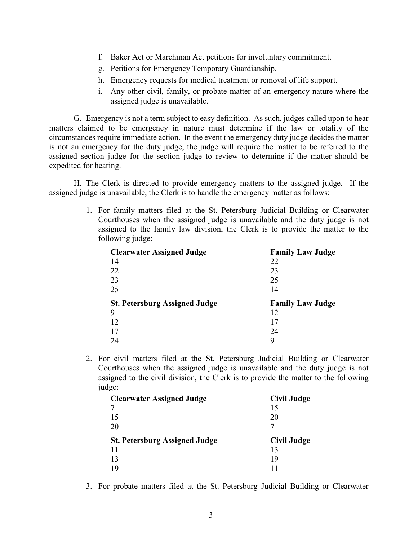- f. Baker Act or Marchman Act petitions for involuntary commitment.
- g. Petitions for Emergency Temporary Guardianship.
- h. Emergency requests for medical treatment or removal of life support.
- i. Any other civil, family, or probate matter of an emergency nature where the assigned judge is unavailable.

G. Emergency is not a term subject to easy definition. As such, judges called upon to hear matters claimed to be emergency in nature must determine if the law or totality of the circumstances require immediate action. In the event the emergency duty judge decides the matter is not an emergency for the duty judge, the judge will require the matter to be referred to the assigned section judge for the section judge to review to determine if the matter should be expedited for hearing.

H. The Clerk is directed to provide emergency matters to the assigned judge. If the assigned judge is unavailable, the Clerk is to handle the emergency matter as follows:

> 1. For family matters filed at the St. Petersburg Judicial Building or Clearwater Courthouses when the assigned judge is unavailable and the duty judge is not assigned to the family law division, the Clerk is to provide the matter to the following judge:

| <b>Clearwater Assigned Judge</b>     | <b>Family Law Judge</b> |
|--------------------------------------|-------------------------|
| 14                                   | 22                      |
| 22                                   | 23                      |
| 23                                   | 25                      |
| 25                                   | 14                      |
|                                      |                         |
| <b>St. Petersburg Assigned Judge</b> | <b>Family Law Judge</b> |
| 9                                    | 12                      |
| 12                                   | 17                      |
| 17                                   | 24                      |

2. For civil matters filed at the St. Petersburg Judicial Building or Clearwater Courthouses when the assigned judge is unavailable and the duty judge is not assigned to the civil division, the Clerk is to provide the matter to the following judge:

| <b>Clearwater Assigned Judge</b>     | <b>Civil Judge</b> |
|--------------------------------------|--------------------|
|                                      | 15                 |
| 15                                   | 20                 |
| 20                                   |                    |
|                                      |                    |
| <b>St. Petersburg Assigned Judge</b> | <b>Civil Judge</b> |
| 11                                   | 13                 |
| 13                                   | 19                 |

3. For probate matters filed at the St. Petersburg Judicial Building or Clearwater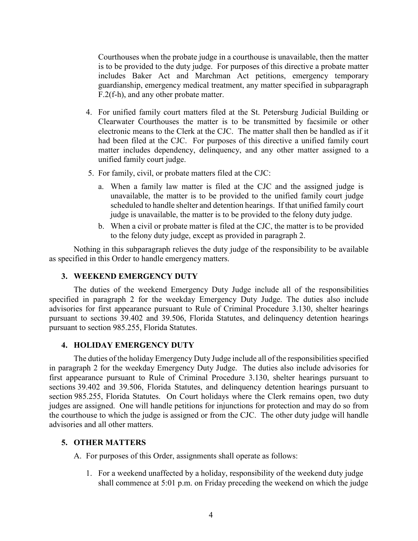Courthouses when the probate judge in a courthouse is unavailable, then the matter is to be provided to the duty judge. For purposes of this directive a probate matter includes Baker Act and Marchman Act petitions, emergency temporary guardianship, emergency medical treatment, any matter specified in subparagraph F.2(f-h), and any other probate matter.

- 4. For unified family court matters filed at the St. Petersburg Judicial Building or Clearwater Courthouses the matter is to be transmitted by facsimile or other electronic means to the Clerk at the CJC. The matter shall then be handled as if it had been filed at the CJC. For purposes of this directive a unified family court matter includes dependency, delinquency, and any other matter assigned to a unified family court judge.
- 5. For family, civil, or probate matters filed at the CJC:
	- a. When a family law matter is filed at the CJC and the assigned judge is unavailable, the matter is to be provided to the unified family court judge scheduled to handle shelter and detention hearings. If that unified family court judge is unavailable, the matter is to be provided to the felony duty judge.
	- b. When a civil or probate matter is filed at the CJC, the matter is to be provided to the felony duty judge, except as provided in paragraph 2.

Nothing in this subparagraph relieves the duty judge of the responsibility to be available as specified in this Order to handle emergency matters.

#### **3. WEEKEND EMERGENCY DUTY**

The duties of the weekend Emergency Duty Judge include all of the responsibilities specified in paragraph 2 for the weekday Emergency Duty Judge. The duties also include advisories for first appearance pursuant to Rule of Criminal Procedure 3.130, shelter hearings pursuant to sections 39.402 and 39.506, Florida Statutes, and delinquency detention hearings pursuant to section 985.255, Florida Statutes.

#### **4. HOLIDAY EMERGENCY DUTY**

The duties of the holiday Emergency Duty Judge include all of the responsibilities specified in paragraph 2 for the weekday Emergency Duty Judge. The duties also include advisories for first appearance pursuant to Rule of Criminal Procedure 3.130, shelter hearings pursuant to sections 39.402 and 39.506, Florida Statutes, and delinquency detention hearings pursuant to section 985.255, Florida Statutes. On Court holidays where the Clerk remains open, two duty judges are assigned. One will handle petitions for injunctions for protection and may do so from the courthouse to which the judge is assigned or from the CJC. The other duty judge will handle advisories and all other matters.

#### **5. OTHER MATTERS**

A. For purposes of this Order, assignments shall operate as follows:

1. For a weekend unaffected by a holiday, responsibility of the weekend duty judge shall commence at 5:01 p.m. on Friday preceding the weekend on which the judge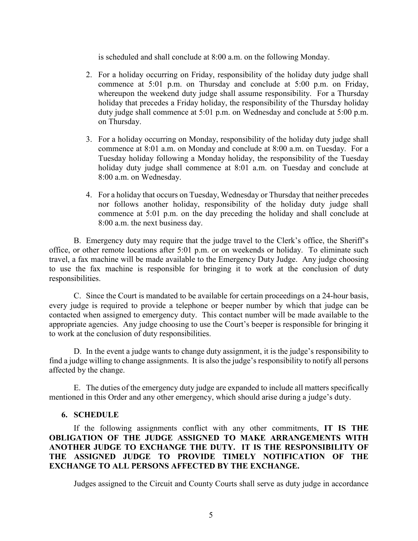is scheduled and shall conclude at 8:00 a.m. on the following Monday.

- 2. For a holiday occurring on Friday, responsibility of the holiday duty judge shall commence at 5:01 p.m. on Thursday and conclude at 5:00 p.m. on Friday, whereupon the weekend duty judge shall assume responsibility. For a Thursday holiday that precedes a Friday holiday, the responsibility of the Thursday holiday duty judge shall commence at 5:01 p.m. on Wednesday and conclude at 5:00 p.m. on Thursday.
- 3. For a holiday occurring on Monday, responsibility of the holiday duty judge shall commence at 8:01 a.m. on Monday and conclude at 8:00 a.m. on Tuesday. For a Tuesday holiday following a Monday holiday, the responsibility of the Tuesday holiday duty judge shall commence at 8:01 a.m. on Tuesday and conclude at 8:00 a.m. on Wednesday.
- 4. For a holiday that occurs on Tuesday, Wednesday or Thursday that neither precedes nor follows another holiday, responsibility of the holiday duty judge shall commence at 5:01 p.m. on the day preceding the holiday and shall conclude at 8:00 a.m. the next business day.

B. Emergency duty may require that the judge travel to the Clerk's office, the Sheriff's office, or other remote locations after 5:01 p.m. or on weekends or holiday. To eliminate such travel, a fax machine will be made available to the Emergency Duty Judge. Any judge choosing to use the fax machine is responsible for bringing it to work at the conclusion of duty responsibilities.

C. Since the Court is mandated to be available for certain proceedings on a 24-hour basis, every judge is required to provide a telephone or beeper number by which that judge can be contacted when assigned to emergency duty. This contact number will be made available to the appropriate agencies. Any judge choosing to use the Court's beeper is responsible for bringing it to work at the conclusion of duty responsibilities.

D. In the event a judge wants to change duty assignment, it is the judge's responsibility to find a judge willing to change assignments. It is also the judge's responsibility to notify all persons affected by the change.

E. The duties of the emergency duty judge are expanded to include all matters specifically mentioned in this Order and any other emergency, which should arise during a judge's duty.

### **6. SCHEDULE**

If the following assignments conflict with any other commitments, **IT IS THE OBLIGATION OF THE JUDGE ASSIGNED TO MAKE ARRANGEMENTS WITH ANOTHER JUDGE TO EXCHANGE THE DUTY. IT IS THE RESPONSIBILITY OF THE ASSIGNED JUDGE TO PROVIDE TIMELY NOTIFICATION OF THE EXCHANGE TO ALL PERSONS AFFECTED BY THE EXCHANGE.**

Judges assigned to the Circuit and County Courts shall serve as duty judge in accordance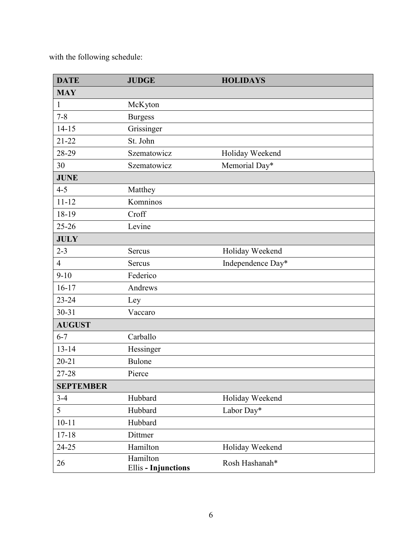with the following schedule:

| <b>DATE</b>      | <b>JUDGE</b>                           | <b>HOLIDAYS</b>   |
|------------------|----------------------------------------|-------------------|
| <b>MAY</b>       |                                        |                   |
| 1                | McKyton                                |                   |
| $7 - 8$          | <b>Burgess</b>                         |                   |
| $14 - 15$        | Grissinger                             |                   |
| $21 - 22$        | St. John                               |                   |
| 28-29            | Szematowicz                            | Holiday Weekend   |
| 30               | Szematowicz                            | Memorial Day*     |
| <b>JUNE</b>      |                                        |                   |
| $4 - 5$          | Matthey                                |                   |
| $11 - 12$        | Komninos                               |                   |
| 18-19            | Croff                                  |                   |
| $25 - 26$        | Levine                                 |                   |
| <b>JULY</b>      |                                        |                   |
| $2 - 3$          | Sercus                                 | Holiday Weekend   |
| $\overline{4}$   | Sercus                                 | Independence Day* |
| $9 - 10$         | Federico                               |                   |
| $16 - 17$        | Andrews                                |                   |
| $23 - 24$        | Ley                                    |                   |
| $30 - 31$        | Vaccaro                                |                   |
| <b>AUGUST</b>    |                                        |                   |
| $6 - 7$          | Carballo                               |                   |
| $13 - 14$        | Hessinger                              |                   |
| $20 - 21$        | Bulone                                 |                   |
| 27-28            | Pierce                                 |                   |
| <b>SEPTEMBER</b> |                                        |                   |
| $3 - 4$          | Hubbard                                | Holiday Weekend   |
| 5                | Hubbard                                | Labor Day*        |
| $10 - 11$        | Hubbard                                |                   |
| $17 - 18$        | Dittmer                                |                   |
| 24-25            | Hamilton                               | Holiday Weekend   |
| 26               | Hamilton<br><b>Ellis - Injunctions</b> | Rosh Hashanah*    |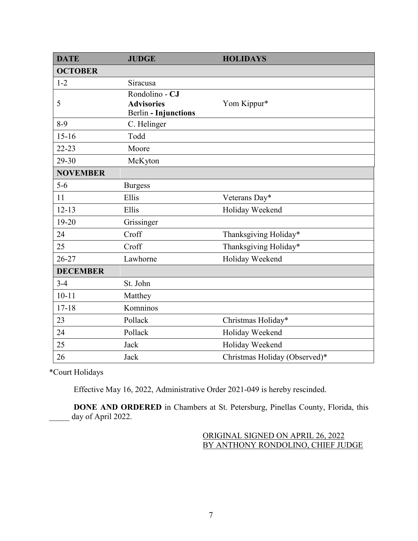| <b>DATE</b>     | <b>JUDGE</b>                                                       | <b>HOLIDAYS</b>               |
|-----------------|--------------------------------------------------------------------|-------------------------------|
| <b>OCTOBER</b>  |                                                                    |                               |
| $1 - 2$         | Siracusa                                                           |                               |
| 5               | Rondolino - CJ<br><b>Advisories</b><br><b>Berlin - Injunctions</b> | Yom Kippur*                   |
| $8-9$           | C. Helinger                                                        |                               |
| $15-16$         | Todd                                                               |                               |
| $22 - 23$       | Moore                                                              |                               |
| 29-30           | McKyton                                                            |                               |
| <b>NOVEMBER</b> |                                                                    |                               |
| $5-6$           | <b>Burgess</b>                                                     |                               |
| 11              | Ellis                                                              | Veterans Day*                 |
| $12 - 13$       | Ellis                                                              | Holiday Weekend               |
| $19 - 20$       | Grissinger                                                         |                               |
| 24              | Croff                                                              | Thanksgiving Holiday*         |
| 25              | Croff                                                              | Thanksgiving Holiday*         |
| $26 - 27$       | Lawhorne                                                           | Holiday Weekend               |
| <b>DECEMBER</b> |                                                                    |                               |
| $3-4$           | St. John                                                           |                               |
| $10 - 11$       | Matthey                                                            |                               |
| $17 - 18$       | Komninos                                                           |                               |
| 23              | Pollack                                                            | Christmas Holiday*            |
| 24              | Pollack                                                            | Holiday Weekend               |
| 25              | Jack                                                               | Holiday Weekend               |
| 26              | Jack                                                               | Christmas Holiday (Observed)* |

\*Court Holidays

Effective May 16, 2022, Administrative Order 2021-049 is hereby rescinded.

**DONE AND ORDERED** in Chambers at St. Petersburg, Pinellas County, Florida, this day of April 2022.

> ORIGINAL SIGNED ON APRIL 26, 2022 BY ANTHONY RONDOLINO, CHIEF JUDGE